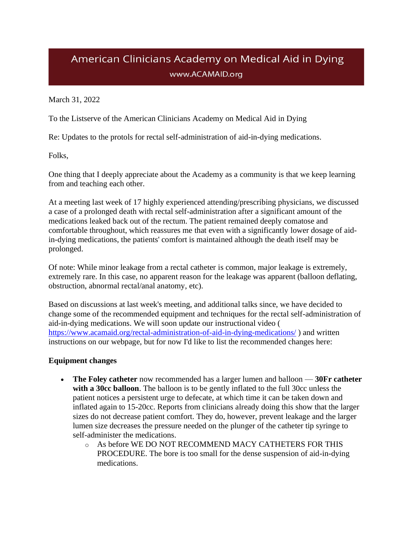## American Clinicians Academy on Medical Aid in Dying www.ACAMAID.org

March 31, 2022

To the Listserve of the American Clinicians Academy on Medical Aid in Dying

Re: Updates to the protols for rectal self-administration of aid-in-dying medications.

Folks,

One thing that I deeply appreciate about the Academy as a community is that we keep learning from and teaching each other.

At a meeting last week of 17 highly experienced attending/prescribing physicians, we discussed a case of a prolonged death with rectal self-administration after a significant amount of the medications leaked back out of the rectum. The patient remained deeply comatose and comfortable throughout, which reassures me that even with a significantly lower dosage of aidin-dying medications, the patients' comfort is maintained although the death itself may be prolonged.

Of note: While minor leakage from a rectal catheter is common, major leakage is extremely, extremely rare. In this case, no apparent reason for the leakage was apparent (balloon deflating, obstruction, abnormal rectal/anal anatomy, etc).

Based on discussions at last week's meeting, and additional talks since, we have decided to change some of the recommended equipment and techniques for the rectal self-administration of aid-in-dying medications. We will soon update our instructional video ( <https://www.acamaid.org/rectal-administration-of-aid-in-dying-medications/> ) and written instructions on our webpage, but for now I'd like to list the recommended changes here:

## **Equipment changes**

- **The Foley catheter** now recommended has a larger lumen and balloon **30Fr catheter**  with a 30cc balloon. The balloon is to be gently inflated to the full 30cc unless the patient notices a persistent urge to defecate, at which time it can be taken down and inflated again to 15-20cc. Reports from clinicians already doing this show that the larger sizes do not decrease patient comfort. They do, however, prevent leakage and the larger lumen size decreases the pressure needed on the plunger of the catheter tip syringe to self-administer the medications.
	- o As before WE DO NOT RECOMMEND MACY CATHETERS FOR THIS PROCEDURE. The bore is too small for the dense suspension of aid-in-dying medications.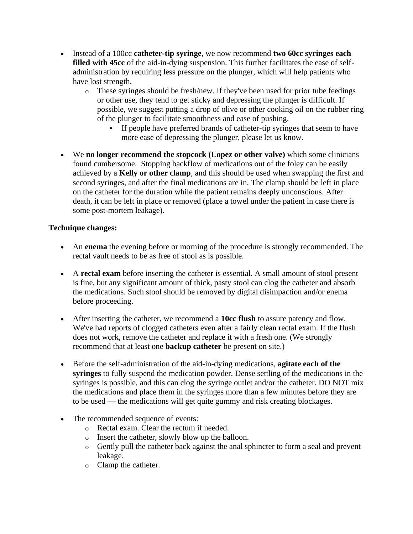- Instead of a 100cc **catheter-tip syringe**, we now recommend **two 60cc syringes each filled with 45cc** of the aid-in-dying suspension. This further facilitates the ease of selfadministration by requiring less pressure on the plunger, which will help patients who have lost strength.
	- $\circ$  These syringes should be fresh/new. If they've been used for prior tube feedings or other use, they tend to get sticky and depressing the plunger is difficult. If possible, we suggest putting a drop of olive or other cooking oil on the rubber ring of the plunger to facilitate smoothness and ease of pushing.
		- If people have preferred brands of catheter-tip syringes that seem to have more ease of depressing the plunger, please let us know.
- We **no longer recommend the stopcock (Lopez or other valve)** which some clinicians found cumbersome. Stopping backflow of medications out of the foley can be easily achieved by a **Kelly or other clamp**, and this should be used when swapping the first and second syringes, and after the final medications are in. The clamp should be left in place on the catheter for the duration while the patient remains deeply unconscious. After death, it can be left in place or removed (place a towel under the patient in case there is some post-mortem leakage).

## **Technique changes:**

- An **enema** the evening before or morning of the procedure is strongly recommended. The rectal vault needs to be as free of stool as is possible.
- A **rectal exam** before inserting the catheter is essential. A small amount of stool present is fine, but any significant amount of thick, pasty stool can clog the catheter and absorb the medications. Such stool should be removed by digital disimpaction and/or enema before proceeding.
- After inserting the catheter, we recommend a **10cc flush** to assure patency and flow. We've had reports of clogged catheters even after a fairly clean rectal exam. If the flush does not work, remove the catheter and replace it with a fresh one. (We strongly recommend that at least one **backup catheter** be present on site.)
- Before the self-administration of the aid-in-dying medications, **agitate each of the syringes** to fully suspend the medication powder. Dense settling of the medications in the syringes is possible, and this can clog the syringe outlet and/or the catheter. DO NOT mix the medications and place them in the syringes more than a few minutes before they are to be used — the medications will get quite gummy and risk creating blockages.
- The recommended sequence of events:
	- o Rectal exam. Clear the rectum if needed.
	- o Insert the catheter, slowly blow up the balloon.
	- o Gently pull the catheter back against the anal sphincter to form a seal and prevent leakage.
	- o Clamp the catheter.